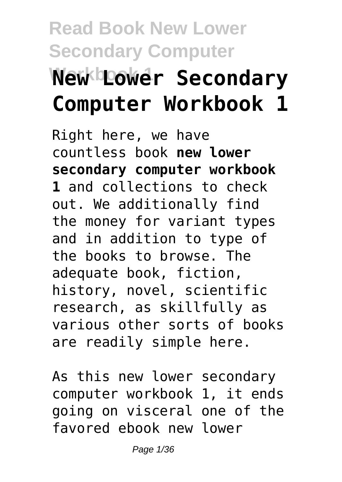# **Read Book New Lower Secondary Computer New Lower Secondary Computer Workbook 1**

Right here, we have countless book **new lower secondary computer workbook 1** and collections to check out. We additionally find the money for variant types and in addition to type of the books to browse. The adequate book, fiction, history, novel, scientific research, as skillfully as various other sorts of books are readily simple here.

As this new lower secondary computer workbook 1, it ends going on visceral one of the favored ebook new lower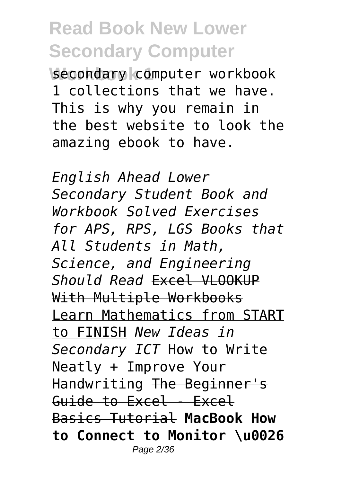**Workbook 1** secondary computer workbook 1 collections that we have. This is why you remain in the best website to look the amazing ebook to have.

*English Ahead Lower Secondary Student Book and Workbook Solved Exercises for APS, RPS, LGS Books that All Students in Math, Science, and Engineering Should Read* Excel VLOOKUP With Multiple Workbooks Learn Mathematics from START to FINISH *New Ideas in Secondary ICT* How to Write Neatly + Improve Your Handwriting The Beginner's Guide to Excel - Excel Basics Tutorial **MacBook How to Connect to Monitor \u0026** Page 2/36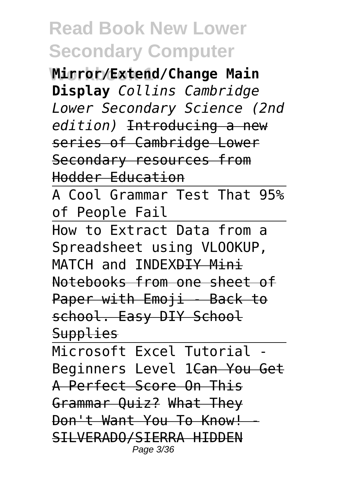**Workbook 1 Mirror/Extend/Change Main Display** *Collins Cambridge Lower Secondary Science (2nd edition)* Introducing a new series of Cambridge Lower Secondary resources from Hodder Education

A Cool Grammar Test That 95% of People Fail

How to Extract Data from a Spreadsheet using VLOOKUP, MATCH and INDEXAIY Mini Notebooks from one sheet of Paper with Emoji - Back to school. Easy DIY School **Supplies** 

Microsoft Excel Tutorial Beginners Level 1Can You Get A Perfect Score On This Grammar Quiz? What They Don't Want You To Know! SILVERADO/SIERRA HIDDEN Page 3/36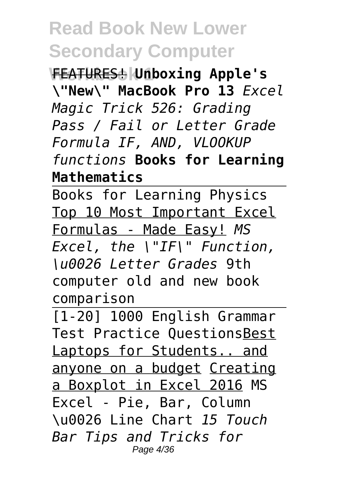**Workbook 1** FEATURES! **Unboxing Apple's \"New\" MacBook Pro 13** *Excel Magic Trick 526: Grading Pass / Fail or Letter Grade Formula IF, AND, VLOOKUP functions* **Books for Learning Mathematics**

Books for Learning Physics Top 10 Most Important Excel Formulas - Made Easy! *MS Excel, the \"IF\" Function, \u0026 Letter Grades* 9th computer old and new book comparison

[1-20] 1000 English Grammar Test Practice QuestionsBest Laptops for Students.. and anyone on a budget Creating a Boxplot in Excel 2016 MS Excel - Pie, Bar, Column \u0026 Line Chart *15 Touch Bar Tips and Tricks for* Page 4/36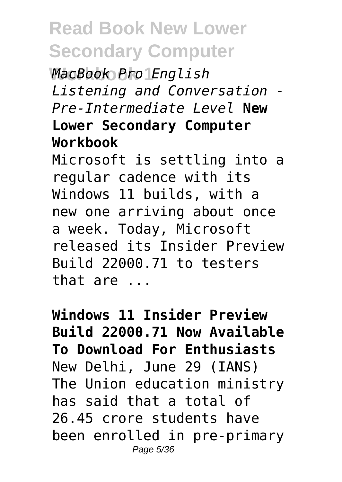**Workbook 1** *MacBook Pro English Listening and Conversation - Pre-Intermediate Level* **New Lower Secondary Computer Workbook**

Microsoft is settling into a regular cadence with its Windows 11 builds, with a new one arriving about once a week. Today, Microsoft released its Insider Preview Build 22000.71 to testers that are ...

**Windows 11 Insider Preview Build 22000.71 Now Available To Download For Enthusiasts** New Delhi, June 29 (IANS) The Union education ministry has said that a total of 26.45 crore students have been enrolled in pre-primary Page 5/36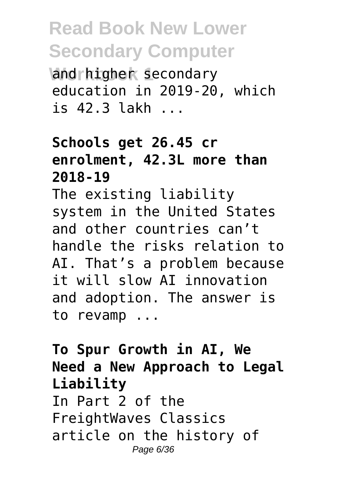**Vand rhigher secondary** education in 2019-20, which is 42.3 lakh ...

#### **Schools get 26.45 cr enrolment, 42.3L more than 2018-19**

The existing liability system in the United States and other countries can't handle the risks relation to AI. That's a problem because it will slow AI innovation and adoption. The answer is to revamp ...

**To Spur Growth in AI, We Need a New Approach to Legal Liability** In Part 2 of the FreightWaves Classics article on the history of Page 6/36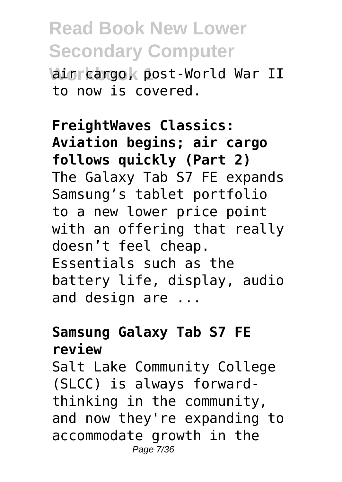**Wain cargo, post-World War II** to now is covered.

**FreightWaves Classics: Aviation begins; air cargo follows quickly (Part 2)** The Galaxy Tab S7 FE expands Samsung's tablet portfolio to a new lower price point with an offering that really doesn't feel cheap. Essentials such as the battery life, display, audio and design are ...

#### **Samsung Galaxy Tab S7 FE review**

Salt Lake Community College (SLCC) is always forwardthinking in the community, and now they're expanding to accommodate growth in the Page 7/36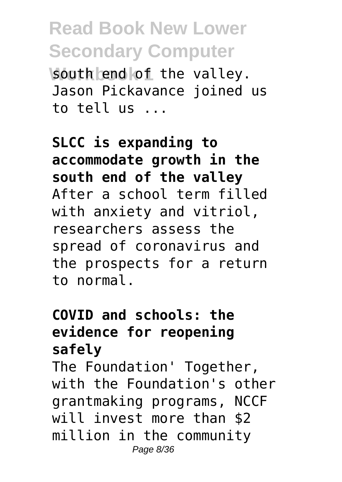**Wouth end of the valley.** Jason Pickavance joined us to tell us ...

**SLCC is expanding to accommodate growth in the south end of the valley** After a school term filled with anxiety and vitriol, researchers assess the spread of coronavirus and the prospects for a return to normal.

#### **COVID and schools: the evidence for reopening safely**

The Foundation' Together, with the Foundation's other grantmaking programs, NCCF will invest more than \$2 million in the community Page 8/36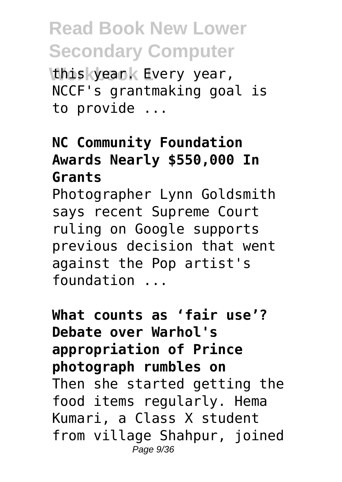**Whis kyeank Every year,** NCCF's grantmaking goal is to provide ...

#### **NC Community Foundation Awards Nearly \$550,000 In Grants**

Photographer Lynn Goldsmith says recent Supreme Court ruling on Google supports previous decision that went against the Pop artist's foundation ...

**What counts as 'fair use'? Debate over Warhol's appropriation of Prince photograph rumbles on** Then she started getting the food items regularly. Hema Kumari, a Class X student from village Shahpur, joined Page 9/36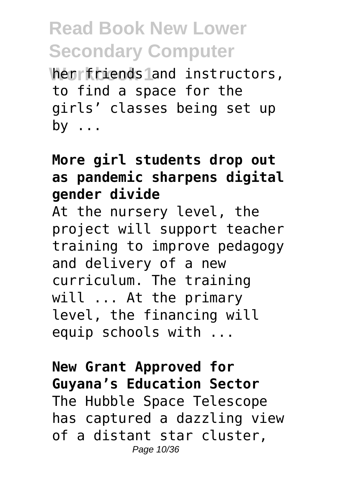**When friends land instructors,** to find a space for the girls' classes being set up by ...

#### **More girl students drop out as pandemic sharpens digital gender divide**

At the nursery level, the project will support teacher training to improve pedagogy and delivery of a new curriculum. The training will ... At the primary level, the financing will equip schools with ...

**New Grant Approved for Guyana's Education Sector** The Hubble Space Telescope has captured a dazzling view of a distant star cluster, Page 10/36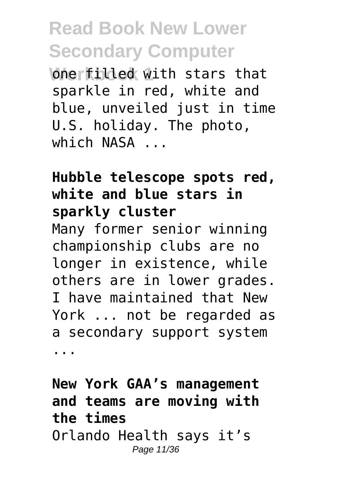**Workfilled with stars that** sparkle in red, white and blue, unveiled just in time U.S. holiday. The photo, which NASA

#### **Hubble telescope spots red, white and blue stars in sparkly cluster**

Many former senior winning championship clubs are no longer in existence, while others are in lower grades. I have maintained that New York ... not be regarded as a secondary support system ...

**New York GAA's management and teams are moving with the times** Orlando Health says it's Page 11/36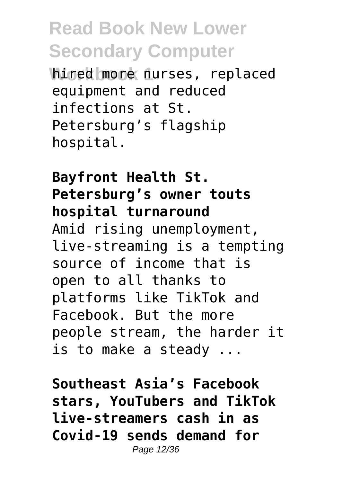hired more nurses, replaced equipment and reduced infections at St. Petersburg's flagship hospital.

**Bayfront Health St. Petersburg's owner touts hospital turnaround** Amid rising unemployment, live-streaming is a tempting source of income that is open to all thanks to platforms like TikTok and Facebook. But the more people stream, the harder it is to make a steady ...

**Southeast Asia's Facebook stars, YouTubers and TikTok live-streamers cash in as Covid-19 sends demand for** Page 12/36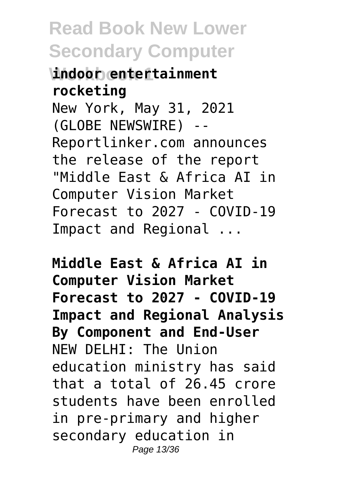**Workbook 1 indoor entertainment rocketing** New York, May 31, 2021 (GLOBE NEWSWIRE) -- Reportlinker.com announces the release of the report "Middle East & Africa AI in Computer Vision Market Forecast to 2027 - COVID-19 Impact and Regional ...

**Middle East & Africa AI in Computer Vision Market Forecast to 2027 - COVID-19 Impact and Regional Analysis By Component and End-User** NEW DELHI: The Union education ministry has said that a total of 26.45 crore students have been enrolled in pre-primary and higher secondary education in Page 13/36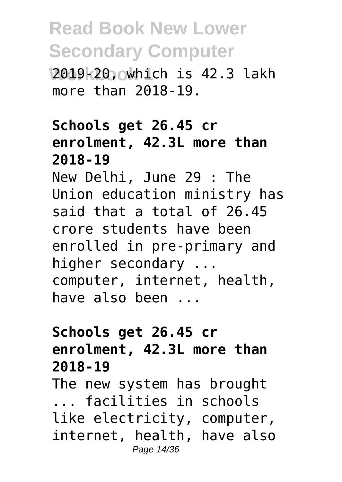**Workbook 1** 2019-20, which is 42.3 lakh more than 2018-19.

#### **Schools get 26.45 cr enrolment, 42.3L more than 2018-19**

New Delhi, June 29 : The Union education ministry has said that a total of 26.45 crore students have been enrolled in pre-primary and higher secondary ... computer, internet, health, have also been ...

#### **Schools get 26.45 cr enrolment, 42.3L more than 2018-19**

The new system has brought ... facilities in schools like electricity, computer, internet, health, have also Page 14/36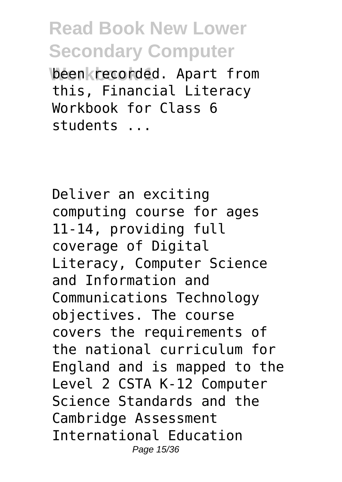been *k* recorded. Apart from this, Financial Literacy Workbook for Class 6 students ...

Deliver an exciting computing course for ages 11-14, providing full coverage of Digital Literacy, Computer Science and Information and Communications Technology objectives. The course covers the requirements of the national curriculum for England and is mapped to the Level 2 CSTA K-12 Computer Science Standards and the Cambridge Assessment International Education Page 15/36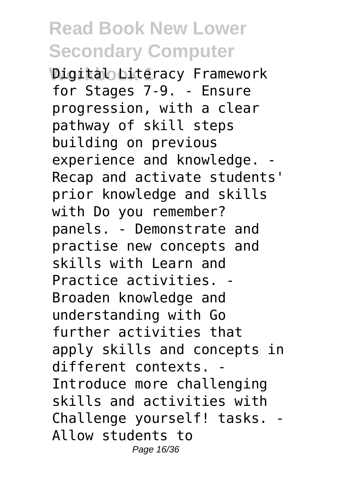*Digital Literacy Framework* for Stages 7-9. - Ensure progression, with a clear pathway of skill steps building on previous experience and knowledge. - Recap and activate students' prior knowledge and skills with Do you remember? panels. - Demonstrate and practise new concepts and skills with Learn and Practice activities. - Broaden knowledge and understanding with Go further activities that apply skills and concepts in different contexts. - Introduce more challenging skills and activities with Challenge yourself! tasks. - Allow students to Page 16/36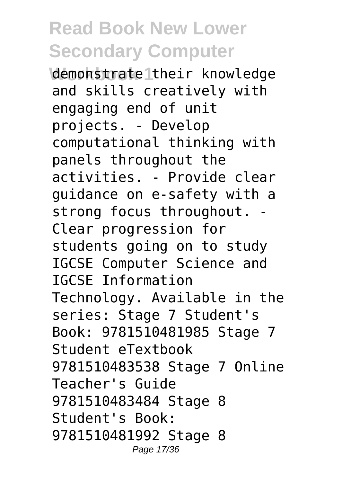**Workbook 1** demonstrate their knowledge and skills creatively with engaging end of unit projects. - Develop computational thinking with panels throughout the activities. - Provide clear guidance on e-safety with a strong focus throughout. - Clear progression for students going on to study IGCSE Computer Science and IGCSE Information Technology. Available in the series: Stage 7 Student's Book: 9781510481985 Stage 7 Student eTextbook 9781510483538 Stage 7 Online Teacher's Guide 9781510483484 Stage 8 Student's Book: 9781510481992 Stage 8 Page 17/36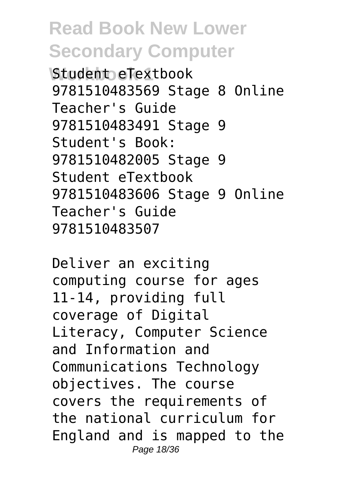**Student eTextbook** 9781510483569 Stage 8 Online Teacher's Guide 9781510483491 Stage 9 Student's Book: 9781510482005 Stage 9 Student eTextbook 9781510483606 Stage 9 Online Teacher's Guide 9781510483507

Deliver an exciting computing course for ages 11-14, providing full coverage of Digital Literacy, Computer Science and Information and Communications Technology objectives. The course covers the requirements of the national curriculum for England and is mapped to the Page 18/36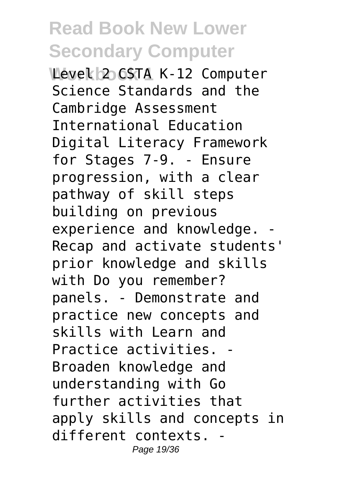**Wevel 2 CSTA K-12 Computer** Science Standards and the Cambridge Assessment International Education Digital Literacy Framework for Stages 7-9. - Ensure progression, with a clear pathway of skill steps building on previous experience and knowledge. Recap and activate students' prior knowledge and skills with Do you remember? panels. - Demonstrate and practice new concepts and skills with Learn and Practice activities. - Broaden knowledge and understanding with Go further activities that apply skills and concepts in different contexts. - Page 19/36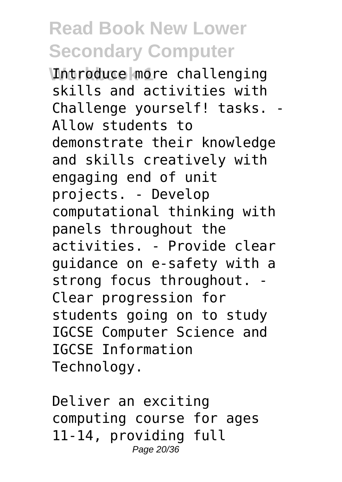*<u>Introduce</u>* more challenging skills and activities with Challenge yourself! tasks. - Allow students to demonstrate their knowledge and skills creatively with engaging end of unit projects. - Develop computational thinking with panels throughout the activities. - Provide clear guidance on e-safety with a strong focus throughout. Clear progression for students going on to study IGCSE Computer Science and IGCSE Information Technology.

Deliver an exciting computing course for ages 11-14, providing full Page 20/36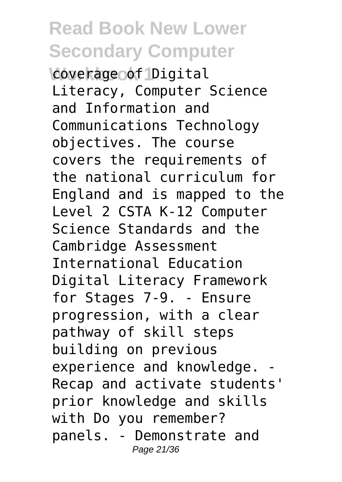**Coverage of Digital** Literacy, Computer Science and Information and Communications Technology objectives. The course covers the requirements of the national curriculum for England and is mapped to the Level 2 CSTA K-12 Computer Science Standards and the Cambridge Assessment International Education Digital Literacy Framework for Stages 7-9. - Ensure progression, with a clear pathway of skill steps building on previous experience and knowledge. Recap and activate students' prior knowledge and skills with Do you remember? panels. - Demonstrate and Page 21/36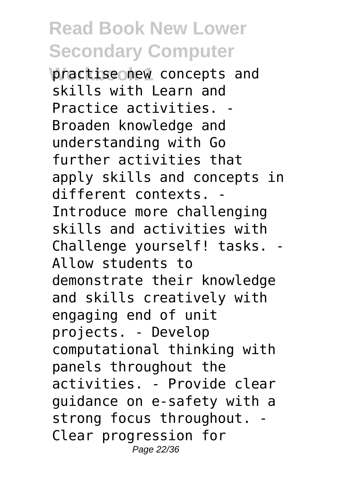**Practise new concepts and** skills with Learn and Practice activities. - Broaden knowledge and understanding with Go further activities that apply skills and concepts in different contexts. - Introduce more challenging skills and activities with Challenge yourself! tasks. - Allow students to demonstrate their knowledge and skills creatively with engaging end of unit projects. - Develop computational thinking with panels throughout the activities. - Provide clear guidance on e-safety with a strong focus throughout. Clear progression for Page 22/36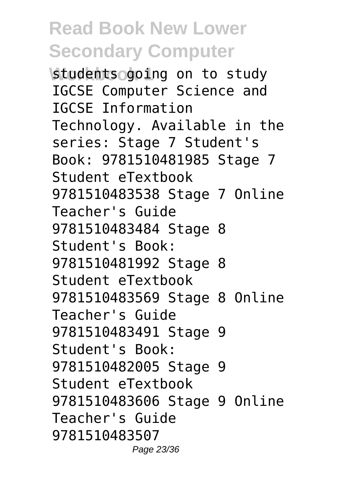**Students going on to study** IGCSE Computer Science and IGCSE Information Technology. Available in the series: Stage 7 Student's Book: 9781510481985 Stage 7 Student eTextbook 9781510483538 Stage 7 Online Teacher's Guide 9781510483484 Stage 8 Student's Book: 9781510481992 Stage 8 Student eTextbook 9781510483569 Stage 8 Online Teacher's Guide 9781510483491 Stage 9 Student's Book: 9781510482005 Stage 9 Student eTextbook 9781510483606 Stage 9 Online Teacher's Guide 9781510483507 Page 23/36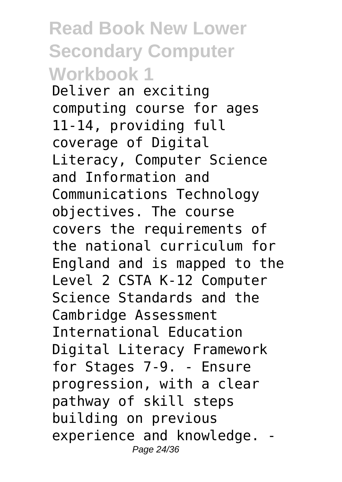**Read Book New Lower Secondary Computer Workbook 1** Deliver an exciting computing course for ages 11-14, providing full coverage of Digital Literacy, Computer Science and Information and Communications Technology objectives. The course covers the requirements of the national curriculum for England and is mapped to the Level 2 CSTA K-12 Computer Science Standards and the Cambridge Assessment International Education Digital Literacy Framework for Stages 7-9. - Ensure progression, with a clear pathway of skill steps building on previous experience and knowledge. - Page 24/36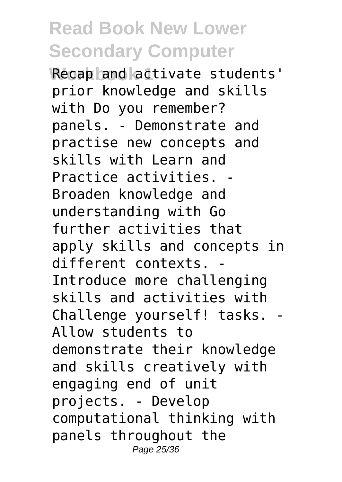**Recap and activate students'** prior knowledge and skills with Do you remember? panels. - Demonstrate and practise new concepts and skills with Learn and Practice activities. - Broaden knowledge and understanding with Go further activities that apply skills and concepts in different contexts. - Introduce more challenging skills and activities with Challenge yourself! tasks. - Allow students to demonstrate their knowledge and skills creatively with engaging end of unit projects. - Develop computational thinking with panels throughout the Page 25/36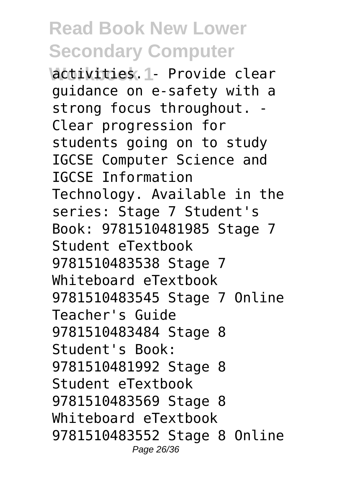**Wactivities. 1- Provide clear** guidance on e-safety with a strong focus throughout. - Clear progression for students going on to study IGCSE Computer Science and IGCSE Information Technology. Available in the series: Stage 7 Student's Book: 9781510481985 Stage 7 Student eTextbook 9781510483538 Stage 7 Whiteboard eTextbook 9781510483545 Stage 7 Online Teacher's Guide 9781510483484 Stage 8 Student's Book: 9781510481992 Stage 8 Student eTextbook 9781510483569 Stage 8 Whiteboard eTextbook 9781510483552 Stage 8 Online Page 26/36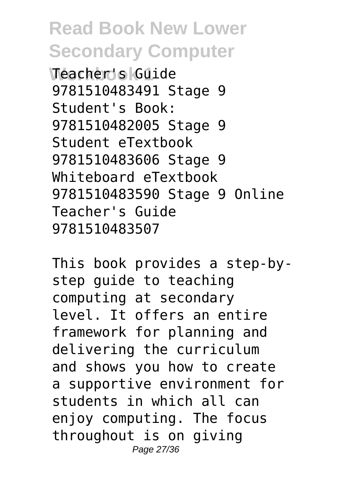**Workbook 1** Teacher's Guide 9781510483491 Stage 9 Student's Book: 9781510482005 Stage 9 Student eTextbook 9781510483606 Stage 9 Whiteboard eTextbook 9781510483590 Stage 9 Online Teacher's Guide 9781510483507

This book provides a step-bystep guide to teaching computing at secondary level. It offers an entire framework for planning and delivering the curriculum and shows you how to create a supportive environment for students in which all can enjoy computing. The focus throughout is on giving Page 27/36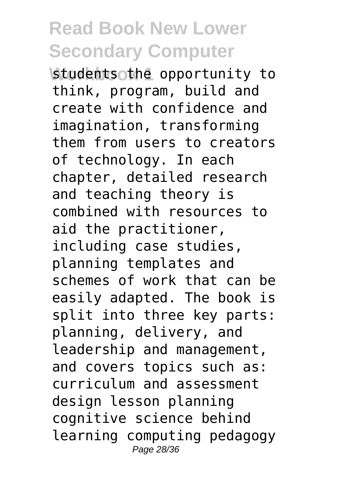**Worker is tudents other opportunity to** think, program, build and create with confidence and imagination, transforming them from users to creators of technology. In each chapter, detailed research and teaching theory is combined with resources to aid the practitioner, including case studies, planning templates and schemes of work that can be easily adapted. The book is split into three key parts: planning, delivery, and leadership and management, and covers topics such as: curriculum and assessment design lesson planning cognitive science behind learning computing pedagogy Page 28/36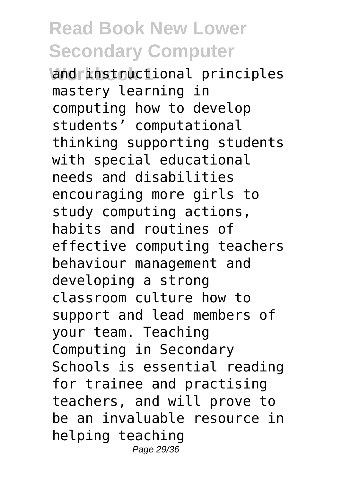**Wand instructional principles** mastery learning in computing how to develop students' computational thinking supporting students with special educational needs and disabilities encouraging more girls to study computing actions, habits and routines of effective computing teachers behaviour management and developing a strong classroom culture how to support and lead members of your team. Teaching Computing in Secondary Schools is essential reading for trainee and practising teachers, and will prove to be an invaluable resource in helping teaching Page 29/36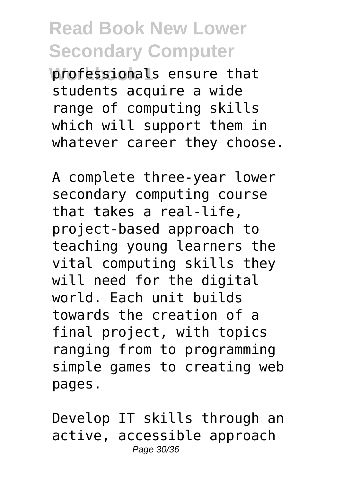**Workessionals ensure that** students acquire a wide range of computing skills which will support them in whatever career they choose.

A complete three-year lower secondary computing course that takes a real-life, project-based approach to teaching young learners the vital computing skills they will need for the digital world. Each unit builds towards the creation of a final project, with topics ranging from to programming simple games to creating web pages.

Develop IT skills through an active, accessible approach Page 30/36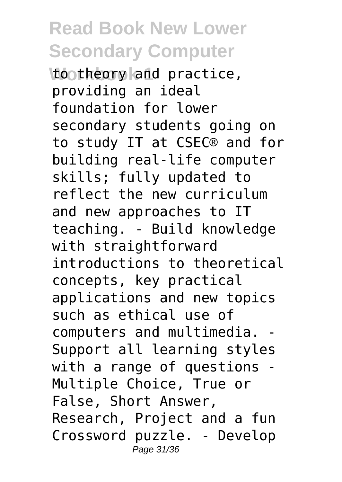**Wootheory and practice,** providing an ideal foundation for lower secondary students going on to study IT at CSEC® and for building real-life computer skills; fully updated to reflect the new curriculum and new approaches to IT teaching. - Build knowledge with straightforward introductions to theoretical concepts, key practical applications and new topics such as ethical use of computers and multimedia. - Support all learning styles with a range of questions - Multiple Choice, True or False, Short Answer, Research, Project and a fun Crossword puzzle. - Develop Page 31/36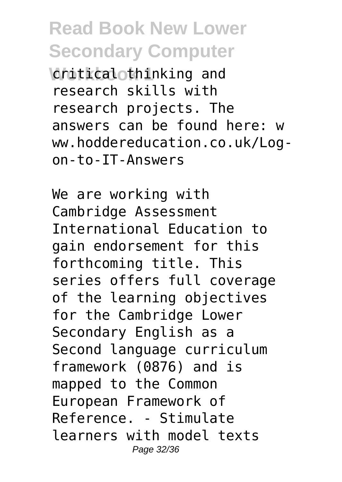**Vonitical thinking and** research skills with research projects. The answers can be found here: w ww.hoddereducation.co.uk/Logon-to-IT-Answers

We are working with Cambridge Assessment International Education to gain endorsement for this forthcoming title. This series offers full coverage of the learning objectives for the Cambridge Lower Secondary English as a Second language curriculum framework (0876) and is mapped to the Common European Framework of Reference. - Stimulate learners with model texts Page 32/36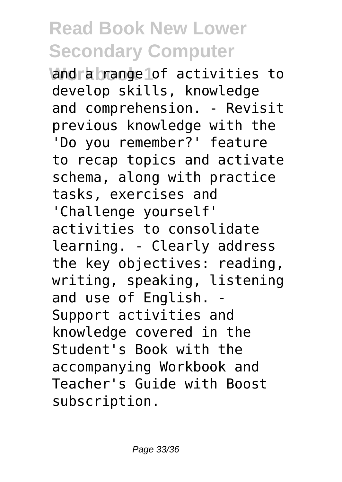**Wandra brange of activities to** develop skills, knowledge and comprehension. - Revisit previous knowledge with the 'Do you remember?' feature to recap topics and activate schema, along with practice tasks, exercises and

'Challenge yourself' activities to consolidate learning. - Clearly address the key objectives: reading, writing, speaking, listening and use of English. - Support activities and knowledge covered in the Student's Book with the accompanying Workbook and Teacher's Guide with Boost subscription.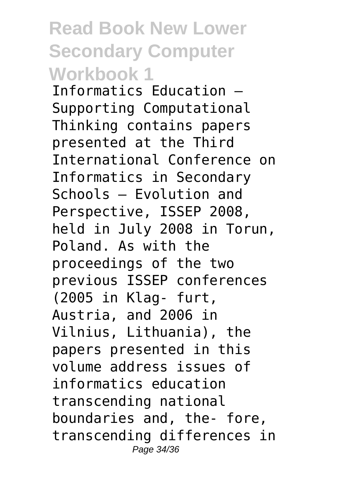Informatics Education – Supporting Computational Thinking contains papers presented at the Third International Conference on Informatics in Secondary Schools – Evolution and Perspective, ISSEP 2008, held in July 2008 in Torun, Poland. As with the proceedings of the two previous ISSEP conferences (2005 in Klag- furt, Austria, and 2006 in Vilnius, Lithuania), the papers presented in this volume address issues of informatics education transcending national boundaries and, the- fore, transcending differences in Page 34/36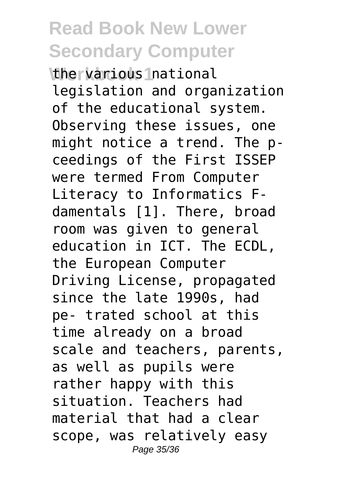**Whervarious Inational** legislation and organization of the educational system. Observing these issues, one might notice a trend. The pceedings of the First ISSEP were termed From Computer Literacy to Informatics Fdamentals [1]. There, broad room was given to general education in ICT. The ECDL, the European Computer Driving License, propagated since the late 1990s, had pe- trated school at this time already on a broad scale and teachers, parents, as well as pupils were rather happy with this situation. Teachers had material that had a clear scope, was relatively easy Page 35/36